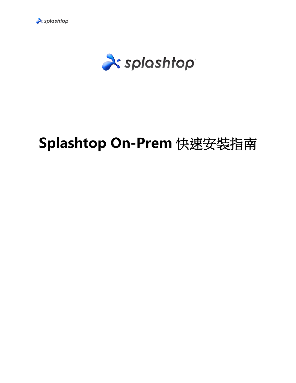

<sup>2</sup> splashtop

# **Splashtop On-Prem** 快速安裝指南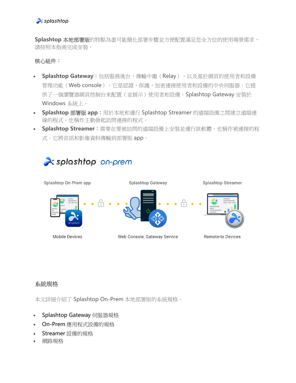**Splashtop** 本地部署版的特點為盡可能簡化部署步驟並方便配置滿足您全方位的使用場景需求, 請按照本指南完成安裝。

# 核心組件:

- **Splashtop Gateway**:包括服務後台,傳輸中繼(Relay),以及基於網頁的使用者和設備 管理功能(Web console)。它是認證,保護,加密連接使用者和設備的中央伺服器。它提 供了一個瀏覽器網頁控制台來配置(並展示)使用者和設備。Splashtop Gateway 安裝於 Windows 系統上。
- **Splashtop** 部署版 **app**:用於本地和運行 Splashtop Streamer 的遠端設備之間建立遠端連 線的程式。也稱作主動發起訪問連接的程式。
- **Splashtop Streamer**:需要在要被訪問的遠端設備上安裝並運行該軟體。也稱作被連接的程 式。它將音訊和影像資料傳輸到部署版 app。

# **X** splashtop on-prem



# 系統規格

本文詳細介紹了 Splashtop On-Prem 本地部署版的系統規格。

- Splashtop Gateway 伺服器規格
- On-Prem 應用程式設備的規格
- Streamer 設備的規格
- 網路規格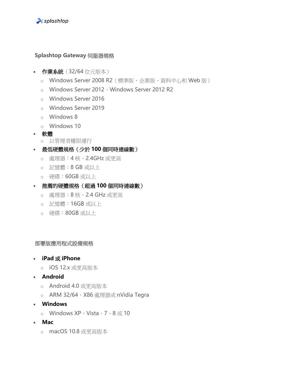

#### **Splashtop Gateway** 伺服器規格

- 作業系統(32/64 位元版本)
	- o Windows Server 2008 R2 (標準版,企業版,資料中心和 Web 版)
	- o Windows Server 2012, Windows Server 2012 R2
	- o Windows Server 2016
	- o Windows Server 2019
	- o Windows 8
	- o Windows 10
- 軟體
	- o 以管理者權限運行
- 最低硬體規格(少於 **100** 個同時連線數)
	- o 處理器:4 核,2.4GHz 或更高
	- o 記憶體:8 GB 或以上
	- o 硬碟:60GB 或以上
- 推薦的硬體規格(超過 **100** 個同時連線數)
	- o 處理器:8 核,2.4 GHz 或更高
	- o 記憶體:16GB 或以上
	- o 硬碟:80GB 或以上

#### 部署版應用程式設備規格

- **iPad** 或 **iPhone**
	- o iOS 12.x 或更高版本
- **Android**
	- o Android 4.0 或更高版本
	- o ARM 32/64, X86 處理器或 nVidia Tegra
- **Windows**
	- o Windows XP, Vista, 7、8 或 10
- **Mac**
	- o macOS 10.8 或更高版本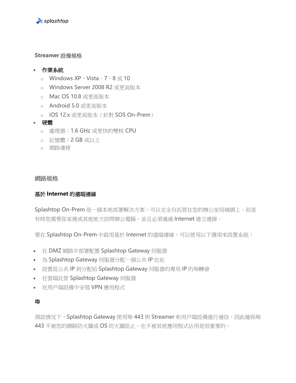

#### **Streamer** 設備規格

#### • 作業系統

- o Windows  $XP \cdot Vista \cdot 7 \cdot 8 \n\equiv 10$
- o Windows Server 2008 R2 或更高版本
- o Mac OS 10.8 或更高版本
- o Android 5.0 或更高版本
- o iOS 12.x 或更高版本(針對 SOS On-Prem)
- 硬體
	- o 處理器:1.6 GHz 或更快的雙核 CPU
	- o 記憶體:2 GB 或以上
	- o 網路連接

#### 網路規格

#### 基於 **Internet** 的遠端連線

Splashtop On-Prem 是一個本地部署解決方案,可以完全自託管在您的辦公室局域網上。但是 有時您需要從家裡或其他地方訪問辦公電腦,並且必須通過 Internet 建立連接。

要在 Splashtop On-Prem 中啟用基於 Internet 的遠端連線,可以使用以下選項來設置系統:

- 在 DMZ 網路中部署配置 Splashtop Gateway 伺服器
- 為 Splashtop Gateway 伺服器分配一個公共 IP 位址
- 設置從公共 IP 到分配給 Splashtop Gateway 伺服器的專用 IP 的埠轉發
- 在雲端託管 Splashtop Gateway 伺服器
- 在用戶端設備中安裝 VPN 應用程式

#### 埠

預設情況下, Splashtop Gateway 使用埠 443 與 Streamer 和用戶端設備進行通信,因此確保埠 443 不被您的網路防火牆或 OS 防火牆阻止, 也不被其他應用程式佔用是很重要的。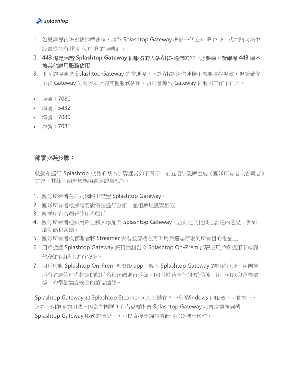#### $\lambda$  splashtop

- 1. 如果需要跨防火牆遠端連線,請為 Splashtop Gateway 準備一個公有 IP 位址,或在防火牆中 設置從公有 IP 到私有 IP 的埠映射。
- 2. **443** 埠是保證 **Splashtop Gateway** 伺服器的入站**/**出站通信的唯一必要埠,請確保 **443** 埠不 被其他應用服務佔用。
- 3. 下面的埠號是 Splashtop Gateway 的本地埠,入站/出站通信連接不需要這些埠號,但請確保 不被 Gateway 伺服器本上的其他服務佔用。否則會導致 Gateway 伺服器工作不正常。
- 埠號:7080
- 埠號:5432
- 埠號:7080
- 埠號:7081

#### 部署安裝步驟:

啟動和運行 Splashtop 軟體的基本步驟通常如下所示。前五個步驟應由您(團隊所有者或管理者) 完成,其餘兩個步驟應由普通成員執行。

- 1. 團隊所有者在公司網路上設置 Splashtop Gateway。
- 2. 團隊所有者根據需要對電腦進行分組,並相應地設置權限。
- 3. 團隊所有者創建使用者帳戶
- 4. 團隊所有者通知用戶已將其添加到 Splashtop Gateway,並向他們提供已創建的憑證,例如 啟動碼和密碼。
- 5. 團隊所有者或管理者將 Streamer 安裝並部署在可供用戶遠端存取的所有目的電腦上。
- 6. 用戶通過 Splashtop Gateway 網頁控制台將 Splashtop On-Prem 部署版用戶端應用下載到 他/她的設備上進行安裝。
- 7. 用戶啟動 Splashtop On-Prem 部署版 app,輸入 Splashtop Gateway 的網路位址,由團隊 所有者或管理者指定的帳戶名和密碼進行登錄。(可登陸後自行修改)然後,用戶可以與企業環 境中的電腦建立安全的遠端連線。

Splashtop Gateway 和 Splashtop Steamer 可以安裝在同一台 Windows 伺服器上。實際上, 這是一個推薦的用法,因為在團隊所有者需要配置 Splashtop Gateway 設置或重新開機 Splashtop Gateway 服務的情況下,可以直接遠端存取此伺服器進行操作。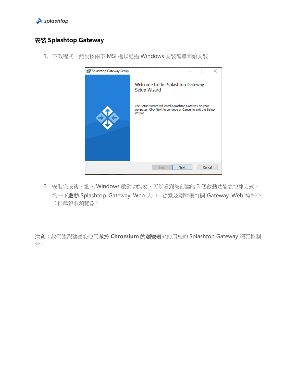

# 安裝 **Splashtop Gateway**

1. 下載程式,然後按兩下 MSI 檔以通過 Windows 安裝嚮導開始安裝。



2. 安裝完成後,進入 Windows 啟動功能表,可以看到被創建的3個啟動功能表快捷方式。 按一下啟動 Splashtop Gateway Web 入口, 從默認瀏覽器打開 Gateway Web 控制台。 (推薦穀歌瀏覽器)

注意:我們強烈建議您使用基於 **Chromium** 的瀏覽器來使用您的 Splashtop Gateway 網頁控制 台。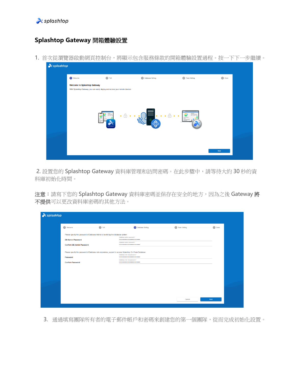

# **Splashtop Gateway** 開箱體驗設置

1. 首次從瀏覽器啟動網頁控制台,將顯示包含服務條款的開箱體驗設置過程。按一下下一步繼續。



2. 設置您的 Splashtop Gateway 資料庫管理和訪問密碼。在此步驟中,請等待大約 30 秒的資 料庫初始化時間。

注意:請寫下您的 Splashtop Gateway 資料庫密碼並保存在安全的地方,因為之後 Gateway 將 不提供可以更改資料庫密碼的其他方法。

| $\lambda$ splashtop                                                                                  |                                      |                |               |
|------------------------------------------------------------------------------------------------------|--------------------------------------|----------------|---------------|
| 2 ToS<br>Welcome                                                                                     | 3 Database Setting                   | 4 Team Setting | <b>6</b> Done |
| Please specify the password of Database Admin to bootstrap the database system:                      | Database admin password *<br>        |                |               |
| <b>DB Admin Password</b><br><b>Confirm DB Admin Password</b>                                         | Database admin password "<br>        |                |               |
| Please specify the password of Database role onpremise_support to access Splashtop On-Prem Database: | Database new role password *         |                |               |
| Password<br><b>Confirm Password</b>                                                                  | <br>Database new role password "<br> |                |               |
|                                                                                                      |                                      |                |               |
|                                                                                                      |                                      |                |               |
|                                                                                                      |                                      |                |               |
|                                                                                                      |                                      |                |               |
|                                                                                                      |                                      | Cancel<br>Next |               |

3. 通過填寫團隊所有者的電子郵件帳戶和密碼來創建您的第一個團隊,從而完成初始化設置。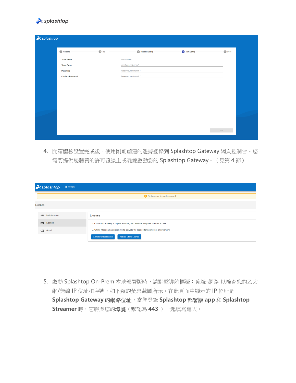

| $\lambda$ splashtop     |         |                           |                       |               |
|-------------------------|---------|---------------------------|-----------------------|---------------|
| <b>I</b> Welcome        | $2$ ToS | <b>3</b> Database Setting | <b>4</b> Team Setting | <b>5</b> Done |
| <b>Team Name</b>        |         | Team name*                |                       |               |
| <b>Team Owner</b>       |         | user@example.com *        |                       |               |
| Password                |         | Password, minimum 6 *     |                       |               |
| <b>Confirm Password</b> |         | Password, minimum 6 *     |                       |               |
|                         |         |                           |                       |               |
|                         |         |                           |                       |               |
|                         |         |                           |                       |               |
|                         |         |                           |                       |               |
|                         |         |                           |                       |               |
|                         |         |                           |                       |               |
|                         |         |                           |                       |               |
|                         |         |                           |                       |               |
|                         |         |                           |                       | Next          |

4. 開箱體驗設置完成後,使用剛剛創建的憑據登錄到 Splashtop Gateway 網頁控制台。您 需要提供您購買的許可證線上或離線啟動您的 Splashtop Gateway。(見第 4 節)

|            | $\lambda$ splashtop | ☆ System |                                                                                          |
|------------|---------------------|----------|------------------------------------------------------------------------------------------|
|            |                     |          | No license or license has expired!                                                       |
| License    |                     |          |                                                                                          |
| 999        | Maintenance         |          | License                                                                                  |
| $\equiv$   | License             |          | 1. Online Mode: easy to import, activate, and remove. Requires internet access.          |
| $^{\circ}$ | About               |          | 2. Offline Mode: an activation file to activate the license for no internet environment. |
|            |                     |          | <b>Activate Online License</b><br><b>Activate Offline License</b>                        |

5. 啟動 Splashtop On-Prem 本地部署版時,請點擊導航標籤: 系統-網路 以檢查您的乙太 網/無線 IP 位址和埠號,如下麵的螢幕截圖所示。在此頁面中顯示的 IP 位址是 **Splashtop Gateway** 的網路位址,當您登錄 **Splashtop** 部署版 **app** 和 **Splashtop Streamer** 時,它將與您的埠號(默認為 **443** )一起填寫進去。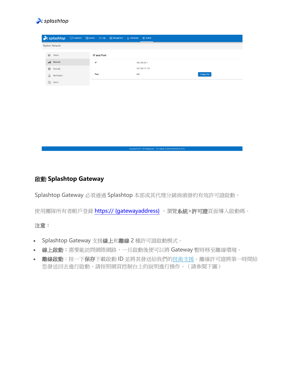

|                |                            |    |                    | → splashtop □ Computers □ Devices 三 Logs 88 Management → Downloads ※ System |     |                |                    |
|----------------|----------------------------|----|--------------------|-----------------------------------------------------------------------------|-----|----------------|--------------------|
|                | <b>System Network</b>      |    |                    |                                                                             |     |                |                    |
|                | $\mathsf{B} \equiv$ Status |    | <b>IP and Port</b> |                                                                             |     |                |                    |
| cool           | Network                    | IP |                    |                                                                             |     | 192.168.56.1   |                    |
| $^{\circledR}$ | Security                   |    |                    |                                                                             |     | 192.168.70.175 |                    |
| △              | Notification               |    | Port               |                                                                             | 443 |                | <b>Change Port</b> |
| $\odot$        | About                      |    |                    |                                                                             |     |                |                    |

### 啟動 **Splashtop Gateway**

Splashtop Gateway 必須通過 Splashtop 本部或其代理分銷商頒發的有效許可證啟動。

使用團隊所有者帳戶登錄 https:// {qatewayaddress} , 瀏覽系統>許可證頁面導入啟動碼。

Copyright © 2010 - 2019 Splashtop Inc. v1.0.3 (Build: 4c03dc0-2019-05-06 16:21:05)

#### 注意:

- Splashtop Gateway 支援線上和離線 2 種許可證啟動模式。
- 線上啟動:需要能訪問網際網路,一旦啟動後便可以將 Gateway 暫時移至離線環境。
- 離線啟動:按一下保存下載啟動 ID 並將其發送給我們[的技術支援。](https://support-splashtoponprem.splashtop.com/hc/zh-cn/articles/%20support-onprem@splashtop.com)離線許可證將第一時間給 您發送回去進行啟動。請按照網頁控制台上的說明進行操作。(請參閱下圖)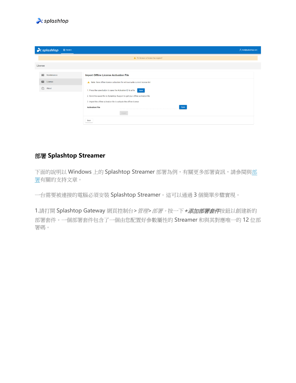

| $\lambda$ splashtop    | <b>☆</b> System |                                                                                 | A test@splashtop.com |
|------------------------|-----------------|---------------------------------------------------------------------------------|----------------------|
|                        |                 | A No license or license has expired!                                            |                      |
| License                |                 |                                                                                 |                      |
| 999<br>Maintenance     |                 | <b>Import Offline License Activation File</b>                                   |                      |
| $\boxed{2}$<br>License |                 | A Note: New offline license activation file will overwrite current license list |                      |
| $\odot$<br>About       |                 | 1. Press the save button to save the Activation ID to a file save               |                      |
|                        |                 | 2. Send the saved file to Splashtop Support to get your offline activation file |                      |
|                        |                 | 3. Import the offline activation file to activate the offline license           |                      |
|                        |                 | Open<br><b>Activation File</b>                                                  |                      |
|                        |                 | Import                                                                          |                      |
|                        |                 | Back                                                                            |                      |

# 部署 **Splashtop Streamer**

下面的說明以 Windows 上的 Splashtop Streamer 部署為例,有關更多部署資訊,請參閱[與部](https://support-splashtoponprem.splashtop.com/hc/zh-cn/sections/900000065326-Deployment) [署有](https://support-splashtoponprem.splashtop.com/hc/zh-cn/sections/900000065326-Deployment)關的支持文章。

一台需要被連接的電腦必須安裝 Splashtop Streamer。這可以通過 3 個簡單步驟實現。

1.請打開 Splashtop Gateway 網頁控制台>*管理>部署。*按一下 +添加部署套件按鈕以創建新的 部署套件。一個部署套件包含了一個由您配置好參數屬性的 Streamer 和與其對應唯一的 12 位部 署碼。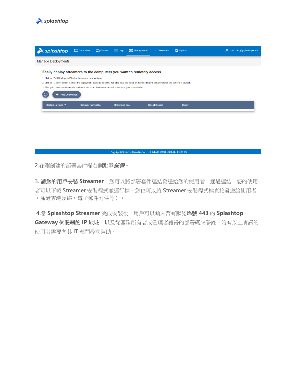

| $\lambda$ splashtop                                                                                                                                                                             | $\Box$ Computers | $\Box$ Devices | $\equiv$ Logs<br><b>RR</b> Management                                                                                                                                                                                                | $\downarrow$ Downloads | <b>议 System</b> | A caleb.ding@splashtop.com |  |  |  |
|-------------------------------------------------------------------------------------------------------------------------------------------------------------------------------------------------|------------------|----------------|--------------------------------------------------------------------------------------------------------------------------------------------------------------------------------------------------------------------------------------|------------------------|-----------------|----------------------------|--|--|--|
| <b>Manage Deployments</b>                                                                                                                                                                       |                  |                |                                                                                                                                                                                                                                      |                        |                 |                            |  |  |  |
| 1. Click on "Add Deployment" button to create a new package.<br>3. After your users run the installer and enter the code, their computers will show up in your computer list.<br>Add Deployment |                  |                | Easily deploy streamers to the computers you want to remotely access<br>2. Click on "Deploy" button to share the deployment package as a link. You also have the option of downloading the actual installer and sending it yourself. |                        |                 |                            |  |  |  |
| Deployment Name 个<br><b>Computer Naming Rule</b><br><b>Deployment Code</b><br><b>Date of Creation</b><br><b>Deploy</b>                                                                          |                  |                |                                                                                                                                                                                                                                      |                        |                 |                            |  |  |  |
|                                                                                                                                                                                                 |                  |                |                                                                                                                                                                                                                                      |                        |                 |                            |  |  |  |

Copyright © 2010 - 2019 Splashtop Inc. v1.0.1 (Build: f336f4c-2019-04-19 18:19:16)

2.在剛創建的部署套件欄右側點擊部署。

3. 請您的用戶安裝 Streamer 。您可以將部署套件連結發送給您的使用者。通過連結,您的使用 者可以下載 Streamer 安裝程式並運行檔。您也可以將 Streamer 安裝程式檔直接發送給使用者 (通過雲端硬碟,電子郵件附件等)。

4.當 **Splashtop Streamer** 完成安裝後,用戶可以輸入帶有默認埠號 **443** 的 **Splashtop Gateway** 伺服器的 IP 地址,以及從團隊所有者或管理者獲得的部署碼來登錄。沒有以上資訊的 使用者需要向其 IT 部門尋求幫助。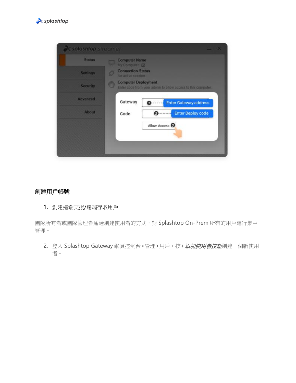



#### 創建用戶帳號

1. 創建遠端支援/遠端存取用戶

團隊所有者或團隊管理者通過創建使用者的方式,對 Splashtop On-Prem 所有的用戶進行集中 管理。

2. 登入 Splashtop Gateway 網頁控制台>管理>用戶。按+添加使用者按鈕創建一個新使用 者。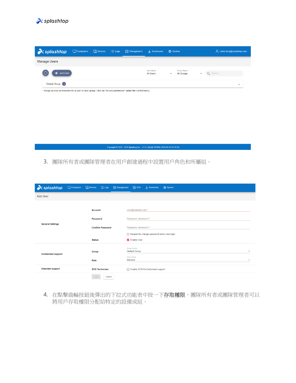

| $\lambda$ splashtop                                                                                                           | $\Box$ Computers | $\Box$ Devices | $\equiv$ Logs | <b>AR</b> Management | $\downarrow$ Downloads          | <b>炎</b> System                                               | A caleb.ding@splashtop.com |
|-------------------------------------------------------------------------------------------------------------------------------|------------------|----------------|---------------|----------------------|---------------------------------|---------------------------------------------------------------|----------------------------|
| <b>Manage Users</b>                                                                                                           |                  |                |               |                      |                                 |                                                               |                            |
| Add User                                                                                                                      |                  |                |               |                      | User Choice<br><b>All Users</b> | Group Choice<br><b>All Groups</b><br>$\overline{\phantom{a}}$ | Q Search                   |
| Default Group 1<br>* Assign access permissions for a user or user group. Click on "Access permission" under the context menu. |                  |                |               |                      |                                 |                                                               | $\checkmark$               |

Copyright © 2010 - 2019 Splashtop Inc. v1.0.1 (Build: f336f4c-2019-04-19 18:19:16)

3. 團隊所有者或團隊管理者在用戶創建過程中設置用戶角色和所屬組。

| x splashtop               | $\Box$ Computers | <b>Devices</b>          | $\equiv$ Logs         | <b>88 Management</b>  | ලි sos                                              | $\downarrow$ Downloads        | <b>※</b> System          |  |  |  |
|---------------------------|------------------|-------------------------|-----------------------|-----------------------|-----------------------------------------------------|-------------------------------|--------------------------|--|--|--|
| <b>Add User</b>           |                  |                         |                       |                       |                                                     |                               |                          |  |  |  |
|                           | <b>Account</b>   |                         |                       | user@example.com *    |                                                     |                               |                          |  |  |  |
| <b>General Settings</b>   |                  | Password                |                       |                       | Password, minimum 6 *                               |                               |                          |  |  |  |
|                           |                  | <b>Confirm Password</b> |                       | Password, minimum 6 * |                                                     |                               |                          |  |  |  |
|                           |                  |                         |                       |                       | Request to change password when next login          |                               |                          |  |  |  |
|                           |                  |                         | <b>Status</b>         |                       |                                                     | <b>Z</b> Enable User          |                          |  |  |  |
| <b>Unattended support</b> |                  | Group                   |                       |                       | Group Choice<br><b>Default Group</b><br>Role Choice |                               | $\overline{\phantom{a}}$ |  |  |  |
|                           |                  | Role                    |                       |                       | Member<br>$\checkmark$                              |                               |                          |  |  |  |
| <b>Attended support</b>   |                  |                         | <b>SOS Technician</b> |                       |                                                     | Enable SOS/On-Demmand support |                          |  |  |  |
|                           |                  | Add                     | Cancel                |                       |                                                     |                               |                          |  |  |  |

4. 在點擊齒輪按鈕後彈出的下拉式功能表中按一下存取權限,團隊所有者或團隊管理者可以 將用戶存取權限分配給特定的設備或組。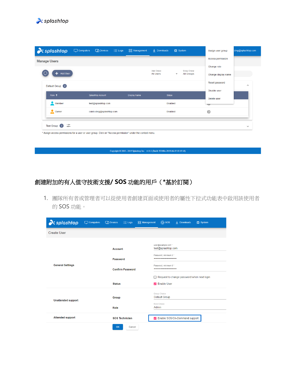

| $\lambda$ splashtop                                                                                                                                       | $\Box$ Computers | <b>Devices</b>           | $\equiv$ Logs | <b>吕</b> Management | $\downarrow$ Downloads | <b>※</b> System          |                   | Assign user group   | ding@splashtop.com      |
|-----------------------------------------------------------------------------------------------------------------------------------------------------------|------------------|--------------------------|---------------|---------------------|------------------------|--------------------------|-------------------|---------------------|-------------------------|
| <b>Manage Users</b>                                                                                                                                       |                  |                          |               |                     |                        |                          |                   | Access permission   |                         |
| ٠                                                                                                                                                         |                  |                          |               |                     | User Choice            |                          | Group Choice      | Change role         |                         |
| Add User                                                                                                                                                  |                  |                          |               |                     | <b>All Users</b>       | $\overline{\phantom{a}}$ | <b>All Groups</b> | Change display name |                         |
| Default Group 2                                                                                                                                           |                  |                          |               |                     |                        |                          |                   | Reset password      | $\widehat{\phantom{a}}$ |
| Role <sup>+</sup>                                                                                                                                         |                  | <b>Splashtop Account</b> |               | <b>Display Name</b> | <b>Status</b>          |                          |                   | Disable user        |                         |
| 모<br>Member                                                                                                                                               |                  | test@splashtop.com       |               |                     |                        | Enabled                  |                   | Delete user<br>ಭ್ರ  |                         |
| Owner                                                                                                                                                     |                  | caleb.ding@splashtop.com |               |                     |                        | Enabled                  |                   | දුරි}               |                         |
| $-\circ$<br>Test Group 0<br>$\overline{\ }$<br>* Assign access permissions for a user or user group. Click on "Access permission" under the context menu. |                  |                          |               |                     |                        |                          |                   |                     | $\checkmark$            |

 $\mbox{Copyright} \otimes 2010\mbox{ -} 2019\mbox{ Splashtop Inc. } v1.0.1\mbox{ (Build: f336f4c-2019-04-19\mbox{ 18:19:16)}}$ 

# 創建附加的有人值守技術支援**/ SOS** 功能的用戶(**\***基於訂閱)

1. 團隊所有者或管理者可以從使用者創建頁面或使用者的屬性下拉式功能表中啟用該使用者 的 SOS 功能。

| $\lambda$ splashtop       | $\Box$ Computers | <b>中</b> Devices | $\equiv$ Logs           | 음음 Management | $\textcircled{f}$ sos                           | $\downarrow$ Downloads | <b>※ System</b> |  |  |
|---------------------------|------------------|------------------|-------------------------|---------------|-------------------------------------------------|------------------------|-----------------|--|--|
| <b>Create User</b>        |                  |                  |                         |               |                                                 |                        |                 |  |  |
|                           |                  | <b>Account</b>   |                         |               | user@example.com *<br>test@splashtop.com        |                        |                 |  |  |
|                           |                  | Password         |                         |               | Password, minimum 6 *<br>                       |                        |                 |  |  |
| <b>General Settings</b>   |                  |                  | <b>Confirm Password</b> |               | Password, minimum 6 *<br>                       |                        |                 |  |  |
|                           |                  |                  |                         |               | Request to change password when next login<br>п |                        |                 |  |  |
|                           |                  | <b>Status</b>    |                         |               | <b>√</b> Enable User                            |                        |                 |  |  |
| <b>Unattended support</b> |                  | Group            |                         |               | Group Choice<br><b>Default Group</b>            |                        |                 |  |  |
|                           |                  | Role             |                         |               | Role Choice<br>Admin                            |                        |                 |  |  |
| <b>Attended support</b>   |                  |                  | <b>SOS Technician</b>   |               |                                                 | Demand support         |                 |  |  |
|                           |                  | OK               | Cancel                  |               |                                                 |                        |                 |  |  |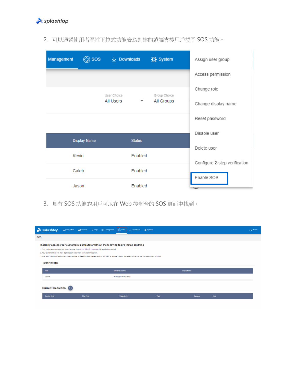

| Management | ඳිම sos             | $\downarrow$ Downloads |               | <b>※ System</b> | Assign user group                           |
|------------|---------------------|------------------------|---------------|-----------------|---------------------------------------------|
|            |                     |                        |               |                 | Access permission                           |
|            |                     | User Choice            |               | Group Choice    | Change role                                 |
|            |                     | All Users              | ▼             | All Groups      | Change display name                         |
|            |                     |                        |               |                 | Reset password                              |
|            | <b>Display Name</b> |                        | <b>Status</b> |                 | Disable user                                |
|            |                     |                        |               |                 | Delete user                                 |
|            | Kevin               |                        | Enabled       |                 |                                             |
|            | Caleb               |                        | Enabled       |                 | Configure 2-step verification<br>Enable SOS |
|            | Jason               |                        | Enabled       |                 | سہ                                          |

2. 可以通過使用者屬性下拉式功能表為創建的遠端支援用戶授予 SOS 功能。

3. 具有 SOS 功能的用戶可以在 Web 控制台的 SOS 頁面中找到。

| $\lambda$ splashtop                                                             |                                                                                                       | <b><i><u><i><u>an m</u></i> m m</u></i></b><br>Computers Chevices $\equiv$ Logs 88 Management (6) SOS $\frac{1}{2}$ Downloads<br>-----                         | <b>XX</b> System |                     |      | A Owner |
|---------------------------------------------------------------------------------|-------------------------------------------------------------------------------------------------------|----------------------------------------------------------------------------------------------------------------------------------------------------------------|------------------|---------------------|------|---------|
| <b>SOS</b>                                                                      |                                                                                                       |                                                                                                                                                                |                  |                     |      |         |
|                                                                                 |                                                                                                       | Instantly access your customers' computers without them having to pre-install anything                                                                         |                  |                     |      |         |
|                                                                                 | 1. Your customer downloads and runs a program from http://127.0.0.1:9080/sos. No installation needed. |                                                                                                                                                                |                  |                     |      |         |
| 2. Your customer tells you the 9-digit session code that's shown on the screen. |                                                                                                       |                                                                                                                                                                |                  |                     |      |         |
|                                                                                 |                                                                                                       | 3. Use your Splashtop On-Prem app Windows/Mac/iOS (v3.3.8.0 or above), Android (v3.4.2.7 or above) to enter the session code and start accessing the computer. |                  |                     |      |         |
| <b>Technicians</b><br>Role                                                      |                                                                                                       | <b>Splashtop Account</b>                                                                                                                                       |                  | <b>Display Name</b> |      |         |
| Owner                                                                           |                                                                                                       | owner@splashtop.com                                                                                                                                            |                  |                     |      |         |
| <b>Current Sessions</b><br><b>Session Code</b>                                  | <b>Start Time</b>                                                                                     | Supported By                                                                                                                                                   | Type             | Category            | Note |         |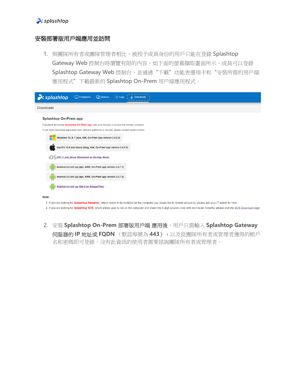#### $\lambda$  splashtop

#### 安裝部署版用戶端應用並訪問

1. 與團隊所有者或團隊管理者相比,被授予成員身份的用戶只能在登錄 Splashtop Gateway Web 控制台時瀏覽有限的內容,如下面的螢幕擷取畫面所示。成員可以登錄 Splashtop Gateway Web 控制台,並通過"下載"功能表選項卡和"安裝所需的用戶端 應用程式"下載最新的 Splashtop On-Prem 用戶端應用程式。

| $\lambda$ splashtop                                                                                | $\Box$ Computers<br><b>Thevices</b><br>$\equiv$ Logs                                                                                                             |  |  |  |  |  |  |
|----------------------------------------------------------------------------------------------------|------------------------------------------------------------------------------------------------------------------------------------------------------------------|--|--|--|--|--|--|
| <b>Downloads</b>                                                                                   |                                                                                                                                                                  |  |  |  |  |  |  |
| <b>Splashtop On-Prem app</b>                                                                       |                                                                                                                                                                  |  |  |  |  |  |  |
| Download and install Splashtop On-Prem app onto your devices to access the remote computer.        |                                                                                                                                                                  |  |  |  |  |  |  |
| If you need download application from different platforms or version, please contact system owner. |                                                                                                                                                                  |  |  |  |  |  |  |
|                                                                                                    | Windows 10, 8, 7 (exe, X86, On-Prem app version 3.4.2.0)                                                                                                         |  |  |  |  |  |  |
|                                                                                                    | macOS 10.8 and above (dmg, X64, On-Prem app version 3.4.2.0)                                                                                                     |  |  |  |  |  |  |
| i∩Sios 11 and above (Download on the App Store)                                                    |                                                                                                                                                                  |  |  |  |  |  |  |
|                                                                                                    | Android 4.0 and up (apk, ARM, On-Prem app version 3.4.7.7)                                                                                                       |  |  |  |  |  |  |
|                                                                                                    | Android 4.0 and up (apk, ARM, On-Prem app version 3.4.7.5)                                                                                                       |  |  |  |  |  |  |
| Android 4.0 and up (Get it on Google Play)                                                         |                                                                                                                                                                  |  |  |  |  |  |  |
| Note:                                                                                              |                                                                                                                                                                  |  |  |  |  |  |  |
|                                                                                                    | 1. If you are looking for Splashtop Streamer, which needs to be installed on the computer you would like to remote access to, please ask your IT admin for help. |  |  |  |  |  |  |

2. If you are looking for Splashtop SOS, which allows user to run on the computer and share the 9-digit session code with technician instantly, please visit the SOS Download page.

2. 安裝 **Splashtop On-Prem** 部署版用戶端 應用後,用戶只需輸入 **Splashtop Gateway** 伺服器的 **IP** 地址或 **FQDN** (默認埠號為 **443**),以及從團隊所有者或管理者獲得的帳戶 名和密碼即可登錄。沒有此資訊的使用者需要諮詢團隊所有者或管理者。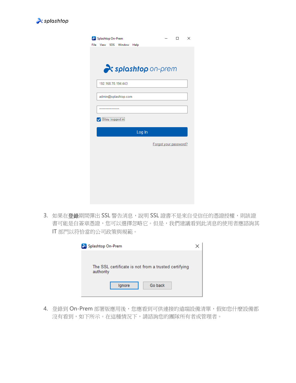

| Splashtop On-Prem |                      |                                  |  | □                     | × |
|-------------------|----------------------|----------------------------------|--|-----------------------|---|
|                   | File View SOS Window | Help                             |  |                       |   |
|                   |                      |                                  |  |                       |   |
|                   |                      |                                  |  |                       |   |
|                   |                      | <i><b>x</b>splashtop</i> on-prem |  |                       |   |
|                   |                      |                                  |  |                       |   |
|                   | 192.168.70.194:443   |                                  |  |                       |   |
|                   |                      |                                  |  |                       |   |
|                   | admin@splashtop.com  |                                  |  |                       |   |
|                   |                      |                                  |  |                       |   |
| ****************  |                      |                                  |  |                       |   |
| Stay logged in    |                      |                                  |  |                       |   |
|                   |                      | Log In                           |  |                       |   |
|                   |                      |                                  |  | Forgot your password? |   |
|                   |                      |                                  |  |                       |   |
|                   |                      |                                  |  |                       |   |
|                   |                      |                                  |  |                       |   |
|                   |                      |                                  |  |                       |   |
|                   |                      |                                  |  |                       |   |
|                   |                      |                                  |  |                       |   |
|                   |                      |                                  |  |                       |   |
|                   |                      |                                  |  |                       |   |

3. 如果在登錄期間彈出 SSL 警告消息,說明 SSL 證書不是來自受信任的憑證授權,則該證 書可能是自簽章憑證,您可以選擇忽略它。但是,我們建議看到此消息的使用者應諮詢其 IT 部門以符恰當的公司政策與規範。

| Splashtop On-Prem                                                 |  |  |  |  |  |  |
|-------------------------------------------------------------------|--|--|--|--|--|--|
|                                                                   |  |  |  |  |  |  |
| The SSL certificate is not from a trusted certifying<br>authority |  |  |  |  |  |  |
| Go back<br>Ignore                                                 |  |  |  |  |  |  |

4. 登錄到 On-Prem 部署版應用後,您應看到可供連接的遠端設備清單,假如您什麼設備都 沒有看到,如下所示。在這種情況下,請諮詢您的團隊所有者或管理者。